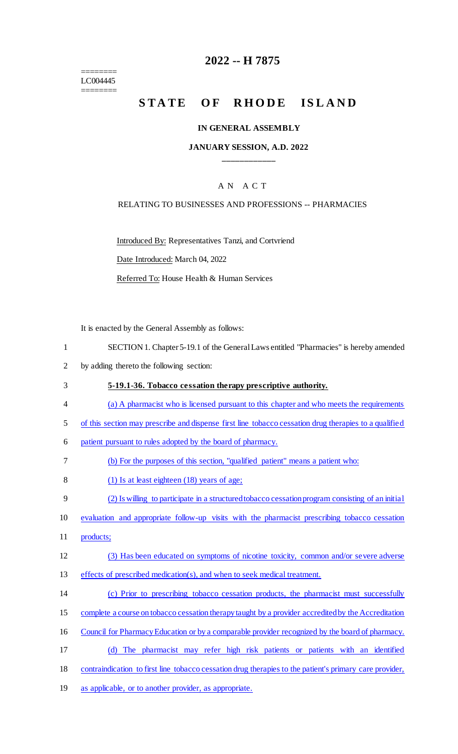======== LC004445 ========

## **2022 -- H 7875**

# STATE OF RHODE ISLAND

#### **IN GENERAL ASSEMBLY**

### **JANUARY SESSION, A.D. 2022 \_\_\_\_\_\_\_\_\_\_\_\_**

### A N A C T

#### RELATING TO BUSINESSES AND PROFESSIONS -- PHARMACIES

Introduced By: Representatives Tanzi, and Cortvriend

Date Introduced: March 04, 2022

Referred To: House Health & Human Services

It is enacted by the General Assembly as follows:

- 1 SECTION 1. Chapter 5-19.1 of the General Laws entitled "Pharmacies" is hereby amended
- 2 by adding thereto the following section:
- 3 **5-19.1-36. Tobacco cessation therapy prescriptive authority.**
- 4 (a) A pharmacist who is licensed pursuant to this chapter and who meets the requirements
- 5 of this section may prescribe and dispense first line tobacco cessation drug therapies to a qualified
- 6 patient pursuant to rules adopted by the board of pharmacy.
- 7 (b) For the purposes of this section, "qualified patient" means a patient who:
- 8 (1) Is at least eighteen (18) years of age;
- 9 (2) Is willing to participate in a structured tobacco cessation program consisting of an initial
- 10 evaluation and appropriate follow-up visits with the pharmacist prescribing tobacco cessation
- 11 products;
- 12 (3) Has been educated on symptoms of nicotine toxicity, common and/or severe adverse
- 13 effects of prescribed medication(s), and when to seek medical treatment.
- 14 (c) Prior to prescribing tobacco cessation products, the pharmacist must successfully
- 15 complete a course on tobacco cessation therapy taught by a provider accredited by the Accreditation
- 16 Council for Pharmacy Education or by a comparable provider recognized by the board of pharmacy.
- 17 (d) The pharmacist may refer high risk patients or patients with an identified
- 18 contraindication to first line tobacco cessation drug therapies to the patient's primary care provider,
- 19 as applicable, or to another provider, as appropriate.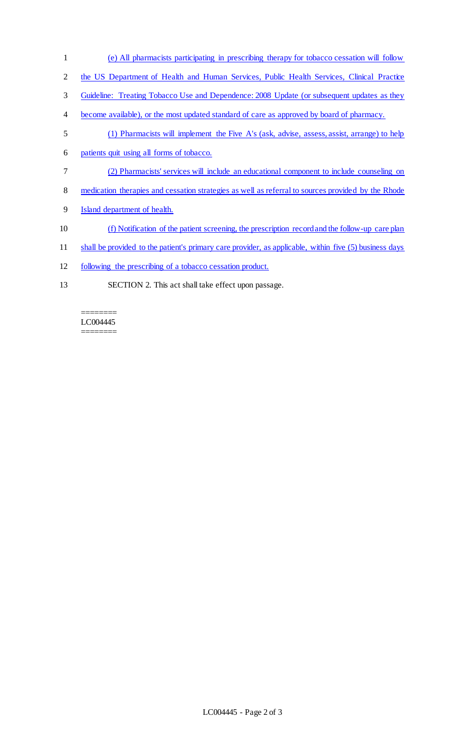- 1 (e) All pharmacists participating in prescribing therapy for tobacco cessation will follow
- 2 the US Department of Health and Human Services, Public Health Services, Clinical Practice
- 3 Guideline: Treating Tobacco Use and Dependence: 2008 Update (or subsequent updates as they
- 4 become available), or the most updated standard of care as approved by board of pharmacy.
- 5 (1) Pharmacists will implement the Five A's (ask, advise, assess, assist, arrange) to help
- 6 patients quit using all forms of tobacco.
- 7 (2) Pharmacists' services will include an educational component to include counseling on
- 8 medication therapies and cessation strategies as well as referral to sources provided by the Rhode
- 9 Island department of health.
- 10 (f) Notification of the patient screening, the prescription record and the follow-up care plan
- 11 shall be provided to the patient's primary care provider, as applicable, within five (5) business days
- 12 following the prescribing of a tobacco cessation product.
- 13 SECTION 2. This act shall take effect upon passage.

#### ======== LC004445 ========